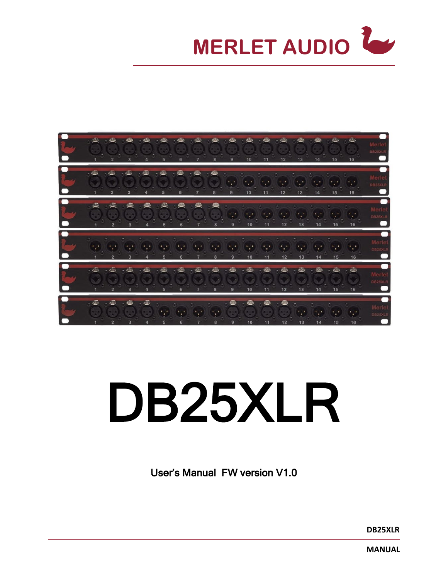



# DB25XLR

User's Manual FW version V1.0

**DB25XLR**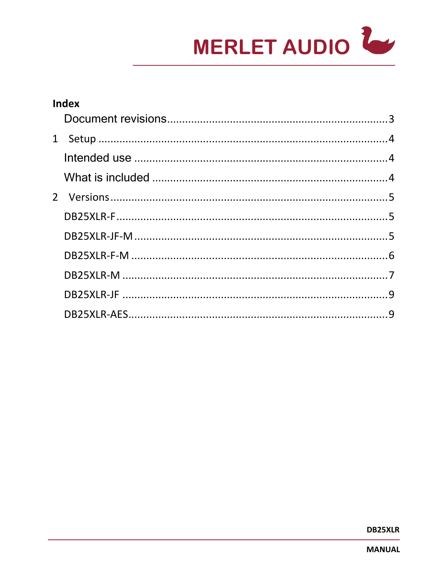

| <b>Index</b> |  |  |  |  |
|--------------|--|--|--|--|
|              |  |  |  |  |
|              |  |  |  |  |
|              |  |  |  |  |
|              |  |  |  |  |
|              |  |  |  |  |
|              |  |  |  |  |
|              |  |  |  |  |
|              |  |  |  |  |
|              |  |  |  |  |
|              |  |  |  |  |
|              |  |  |  |  |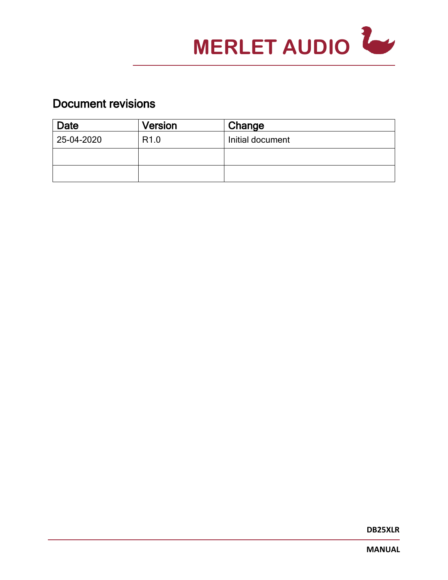

# <span id="page-2-0"></span>Document revisions

| Date       | <b>Version</b>   | Change           |
|------------|------------------|------------------|
| 25-04-2020 | R <sub>1.0</sub> | Initial document |
|            |                  |                  |
|            |                  |                  |

**DB25XLR**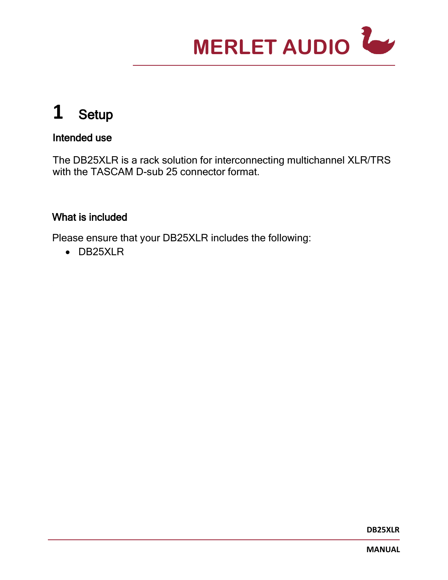

# <span id="page-3-0"></span>**1** Setup

## <span id="page-3-1"></span>Intended use

The DB25XLR is a rack solution for interconnecting multichannel XLR/TRS with the TASCAM D-sub 25 connector format.

## <span id="page-3-2"></span>What is included

Please ensure that your DB25XLR includes the following:

• DB25XLR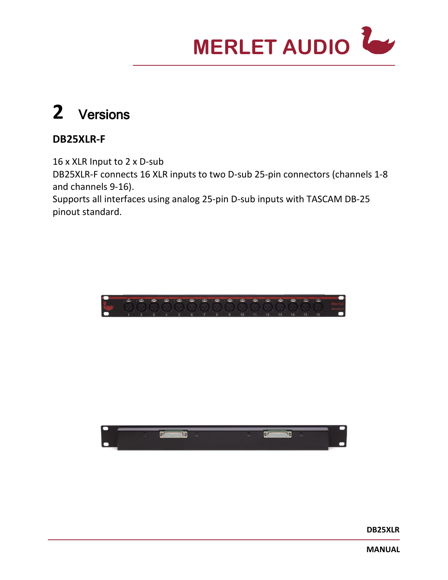

# <span id="page-4-0"></span>**2** Versions

# <span id="page-4-1"></span>**DB25XLR-F**

16 x XLR Input to 2 x D-sub DB25XLR-F connects 16 XLR inputs to two D-sub 25-pin connectors (channels 1-8 and channels 9-16). Supports all interfaces using analog 25-pin D-sub inputs with TASCAM DB-25 pinout standard.

<span id="page-4-2"></span>

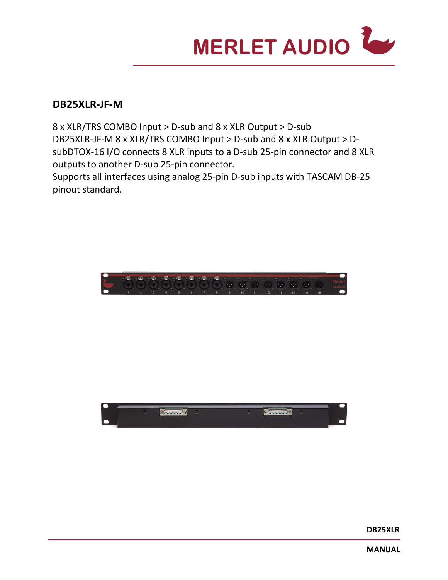

#### **DB25XLR-JF-M**

8 x XLR/TRS COMBO Input > D-sub and 8 x XLR Output > D-sub DB25XLR-JF-M 8 x XLR/TRS COMBO Input > D-sub and 8 x XLR Output > DsubDTOX-16 I/O connects 8 XLR inputs to a D-sub 25-pin connector and 8 XLR outputs to another D-sub 25-pin connector.

Supports all interfaces using analog 25-pin D-sub inputs with TASCAM DB-25 pinout standard.

<span id="page-5-0"></span>

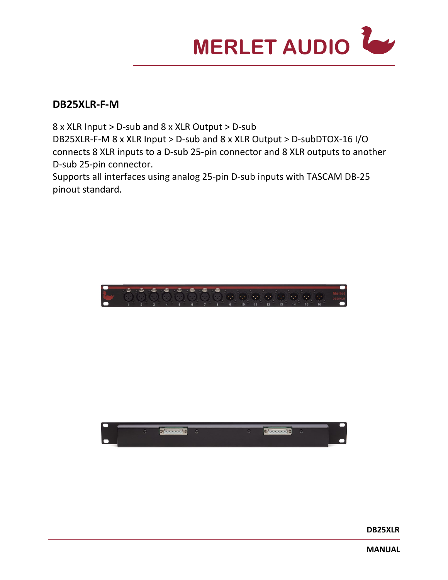<span id="page-6-0"></span>

#### **DB25XLR-F-M**

8 x XLR Input > D-sub and 8 x XLR Output > D-sub DB25XLR-F-M 8 x XLR Input > D-sub and 8 x XLR Output > D-subDTOX-16 I/O connects 8 XLR inputs to a D-sub 25-pin connector and 8 XLR outputs to another D-sub 25-pin connector.

Supports all interfaces using analog 25-pin D-sub inputs with TASCAM DB-25 pinout standard.



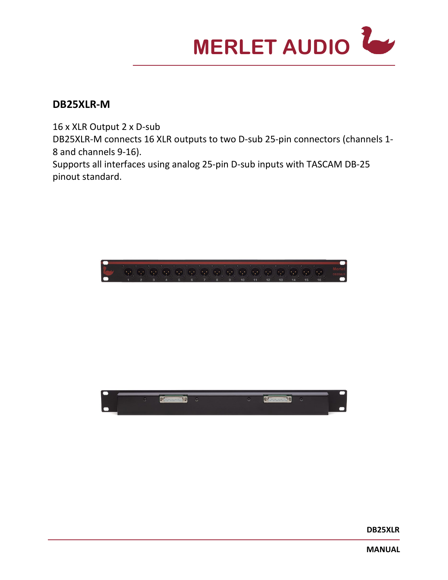

#### **DB25XLR-M**

16 x XLR Output 2 x D-sub DB25XLR-M connects 16 XLR outputs to two D-sub 25-pin connectors (channels 1- 8 and channels 9-16). Supports all interfaces using analog 25-pin D-sub inputs with TASCAM DB-25 pinout standard.

<span id="page-7-0"></span>

**DB25XLR**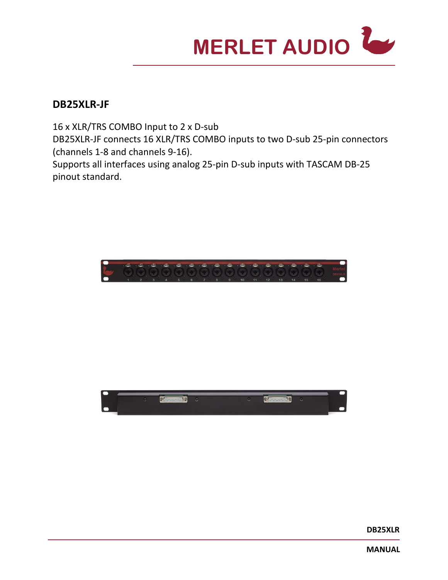

#### **DB25XLR-JF**

16 x XLR/TRS COMBO Input to 2 x D-sub DB25XLR-JF connects 16 XLR/TRS COMBO inputs to two D-sub 25-pin connectors (channels 1-8 and channels 9-16). Supports all interfaces using analog 25-pin D-sub inputs with TASCAM DB-25 pinout standard.

<span id="page-8-0"></span>

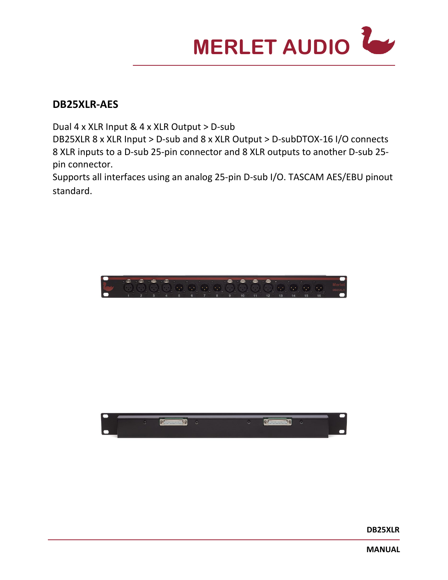

#### **DB25XLR-AES**

Dual 4 x XLR Input & 4 x XLR Output > D-sub

DB25XLR 8 x XLR Input > D-sub and 8 x XLR Output > D-subDTOX-16 I/O connects 8 XLR inputs to a D-sub 25-pin connector and 8 XLR outputs to another D-sub 25 pin connector.

Supports all interfaces using an analog 25-pin D-sub I/O. TASCAM AES/EBU pinout standard.